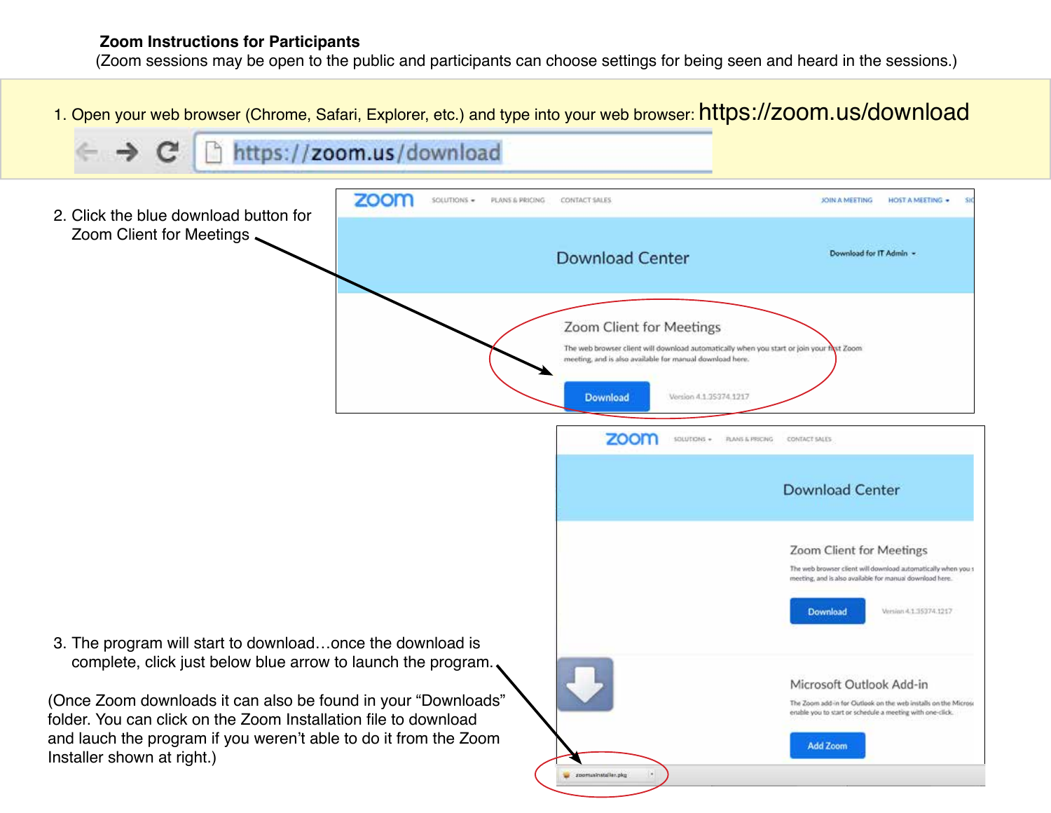(Zoom sessions may be open to the public and participants can choose settings for being seen and heard in the sessions.)

1. Open your web browser (Chrome, Safari, Explorer, etc.) and type into your web browser: https://zoom.us/download